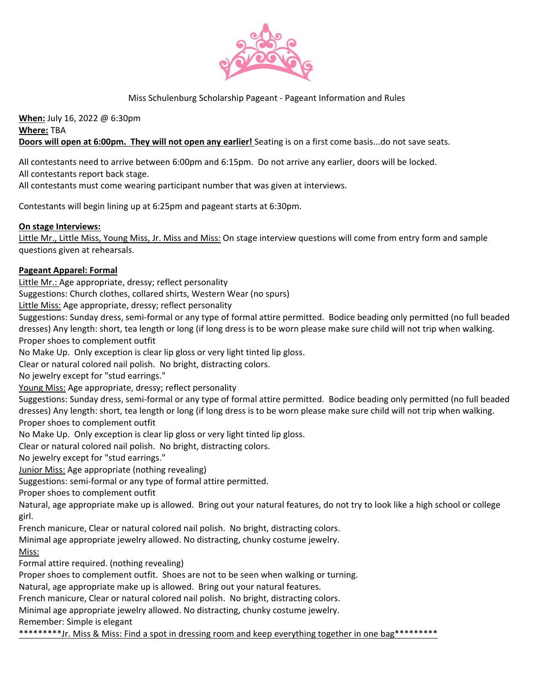

#### Miss Schulenburg Scholarship Pageant ‐ Pageant Information and Rules

**When:** July 16, 2022 @ 6:30pm **Where:** TBA **Doors will open at 6:00pm. They will not open any earlier!** Seating is on a first come basis...do not save seats.

All contestants need to arrive between 6:00pm and 6:15pm. Do not arrive any earlier, doors will be locked.

All contestants report back stage.

All contestants must come wearing participant number that was given at interviews.

Contestants will begin lining up at 6:25pm and pageant starts at 6:30pm.

#### **On stage Interviews:**

Little Mr., Little Miss, Young Miss, Jr. Miss and Miss: On stage interview questions will come from entry form and sample questions given at rehearsals.

## **Pageant Apparel: Formal**

Little Mr.: Age appropriate, dressy; reflect personality

Suggestions: Church clothes, collared shirts, Western Wear (no spurs)

Little Miss: Age appropriate, dressy; reflect personality

Suggestions: Sunday dress, semi‐formal or any type of formal attire permitted. Bodice beading only permitted (no full beaded dresses) Any length: short, tea length or long (if long dress is to be worn please make sure child will not trip when walking. Proper shoes to complement outfit

No Make Up. Only exception is clear lip gloss or very light tinted lip gloss.

Clear or natural colored nail polish. No bright, distracting colors.

No jewelry except for "stud earrings."

Young Miss: Age appropriate, dressy; reflect personality

Suggestions: Sunday dress, semi‐formal or any type of formal attire permitted. Bodice beading only permitted (no full beaded dresses) Any length: short, tea length or long (if long dress is to be worn please make sure child will not trip when walking. Proper shoes to complement outfit

No Make Up. Only exception is clear lip gloss or very light tinted lip gloss.

Clear or natural colored nail polish. No bright, distracting colors.

No jewelry except for "stud earrings."

Junior Miss: Age appropriate (nothing revealing)

Suggestions: semi-formal or any type of formal attire permitted.

Proper shoes to complement outfit

Natural, age appropriate make up is allowed. Bring out your natural features, do not try to look like a high school or college girl.

French manicure, Clear or natural colored nail polish. No bright, distracting colors.

Minimal age appropriate jewelry allowed. No distracting, chunky costume jewelry.

Miss:

Formal attire required. (nothing revealing)

Proper shoes to complement outfit. Shoes are not to be seen when walking or turning.

Natural, age appropriate make up is allowed. Bring out your natural features.

French manicure, Clear or natural colored nail polish. No bright, distracting colors.

Minimal age appropriate jewelry allowed. No distracting, chunky costume jewelry.

Remember: Simple is elegant

\*\*\*\*\*\*\*\*\*\*Jr. Miss & Miss: Find a spot in dressing room and keep everything together in one bag\*\*\*\*\*\*\*\*\*